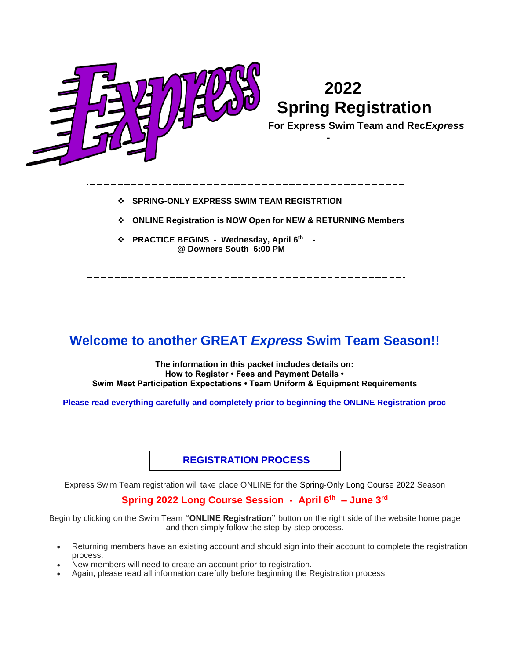

- ❖ **SPRING-ONLY EXPRESS SWIM TEAM REGISTRTION**
- ❖ **ONLINE Registration is NOW Open for NEW & RETURNING Members**
- ❖ **PRACTICE BEGINS - Wednesday, April 6 th @ Downers South 6:00 PM**

# **Welcome to another GREAT** *Express* **Swim Team Season!!**

**The information in this packet includes details on: How to Register • Fees and Payment Details • Swim Meet Participation Expectations • Team Uniform & Equipment Requirements**

**Please read everything carefully and completely prior to beginning the ONLINE Registration proc**

**REGISTRATION PROCESS**

Express Swim Team registration will take place ONLINE for the Spring-Only Long Course 2022 Season

## **Spring 2022 Long Course Session - April 6 th – June 3 rd**

Begin by clicking on the Swim Team **"ONLINE Registration"** button on the right side of the website home page and then simply follow the step-by-step process.

- Returning members have an existing account and should sign into their account to complete the registration process.
- New members will need to create an account prior to registration.
- Again, please read all information carefully before beginning the Registration process.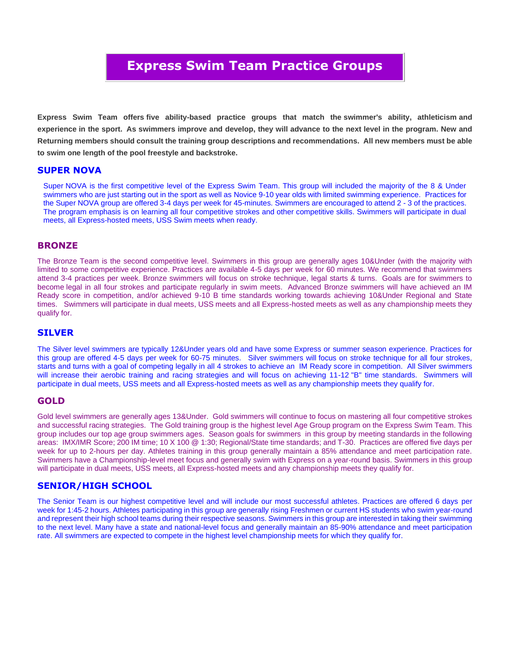# **Express Swim T Express Swim Team Practice Groups**

**Express Swim Team offers five ability-based practice groups that match the swimmer's ability, athleticism and experience in the sport. As swimmers improve and develop, they will advance to the next level in the program. New and Returning members should consult the training group descriptions and recommendations. All new members must be able to swim one length of the pool freestyle and backstroke.**

## **SUPER NOVA**

Super NOVA is the first competitive level of the Express Swim Team. This group will included the majority of the 8 & Under swimmers who are just starting out in the sport as well as Novice 9-10 year olds with limited swimming experience. Practices for the Super NOVA group are offered 3-4 days per week for 45-minutes. Swimmers are encouraged to attend 2 - 3 of the practices. The program emphasis is on learning all four competitive strokes and other competitive skills. Swimmers will participate in dual meets, all Express-hosted meets, USS Swim meets when ready.

## **BRONZE**

The Bronze Team is the second competitive level. Swimmers in this group are generally ages 10&Under (with the majority with limited to some competitive experience. Practices are available 4-5 days per week for 60 minutes. We recommend that swimmers attend 3-4 practices per week. Bronze swimmers will focus on stroke technique, legal starts & turns. Goals are for swimmers to become legal in all four strokes and participate regularly in swim meets. Advanced Bronze swimmers will have achieved an IM Ready score in competition, and/or achieved 9-10 B time standards working towards achieving 10&Under Regional and State times. Swimmers will participate in dual meets, USS meets and all Express-hosted meets as well as any championship meets they qualify for.

## **SILVER**

The Silver level swimmers are typically 12&Under years old and have some Express or summer season experience. Practices for this group are offered 4-5 days per week for 60-75 minutes. Silver swimmers will focus on stroke technique for all four strokes, starts and turns with a goal of competing legally in all 4 strokes to achieve an IM Ready score in competition. All Silver swimmers will increase their aerobic training and racing strategies and will focus on achieving 11-12 "B" time standards. Swimmers will participate in dual meets, USS meets and all Express-hosted meets as well as any championship meets they qualify for.

## **GOLD**

Gold level swimmers are generally ages 13&Under. Gold swimmers will continue to focus on mastering all four competitive strokes and successful racing strategies. The Gold training group is the highest level Age Group program on the Express Swim Team. This group includes our top age group swimmers ages. Season goals for swimmers in this group by meeting standards in the following areas: IMX/IMR Score; 200 IM time; 10 X 100 @ 1:30; Regional/State time standards; and T-30. Practices are offered five days per week for up to 2-hours per day. Athletes training in this group generally maintain a 85% attendance and meet participation rate. Swimmers have a Championship-level meet focus and generally swim with Express on a year-round basis. Swimmers in this group will participate in dual meets, USS meets, all Express-hosted meets and any championship meets they qualify for.

## **SENIOR/HIGH SCHOOL**

The Senior Team is our highest competitive level and will include our most successful athletes. Practices are offered 6 days per week for 1:45-2 hours. Athletes participating in this group are generally rising Freshmen or current HS students who swim year-round and represent their high school teams during their respective seasons. Swimmers in this group are interested in taking their swimming to the next level. Many have a state and national-level focus and generally maintain an 85-90% attendance and meet participation rate. All swimmers are expected to compete in the highest level championship meets for which they qualify for.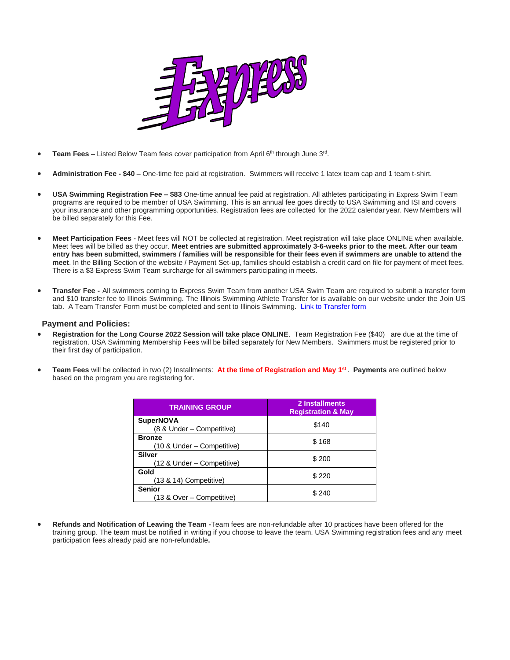

- **Team Fees -** Listed Below Team fees cover participation from April 6<sup>th</sup> through June 3<sup>rd</sup>.
- **Administration Fee - \$40 –** One-time fee paid at registration. Swimmers will receive 1 latex team cap and 1 team t-shirt.
- **USA Swimming Registration Fee – \$83** One-time annual fee paid at registration. All athletes participating in Express Swim Team programs are required to be member of USA Swimming. This is an annual fee goes directly to USA Swimming and ISI and covers your insurance and other programming opportunities. Registration fees are collected for the 2022 calendar year. New Members will be billed separately for this Fee.
- **Meet Participation Fees**  Meet fees will NOT be collected at registration. Meet registration will take place ONLINE when available. Meet fees will be billed as they occur. **Meet entries are submitted approximately 3-6-weeks prior to the meet. After our team entry has been submitted, swimmers / families will be responsible for their fees even if swimmers are unable to attend the meet**. In the Billing Section of the website / Payment Set-up, families should establish a credit card on file for payment of meet fees. There is a \$3 Express Swim Team surcharge for all swimmers participating in meets.
- **Transfer Fee -** All swimmers coming to Express Swim Team from another USA Swim Team are required to submit a transfer form and \$10 transfer fee to Illinois Swimming. The Illinois Swimming Athlete Transfer for is available on our website under the Join US tab. A Team Transfer Form must be completed and sent to Illinois Swimming. [Link to Transfer form](https://www.teamunify.com/ilslsc/__doc__/Current_Transfer%20Form%20fill%20in%20form.pdf)

#### **Payment and Policies:**

- **Registration for the Long Course 2022 Session will take place ONLINE**. Team Registration Fee (\$40) are due at the time of registration. USA Swimming Membership Fees will be billed separately for New Members. Swimmers must be registered prior to their first day of participation.
- **Team Fees** will be collected in two (2) Installments: **At the time of Registration and May 1 st** . **Payments** are outlined below based on the program you are registering for.

| <b>TRAINING GROUP</b>                         | 2 Installments<br><b>Registration &amp; May</b> |
|-----------------------------------------------|-------------------------------------------------|
| <b>SuperNOVA</b><br>(8 & Under – Competitive) | \$140                                           |
| <b>Bronze</b><br>(10 & Under – Competitive)   | \$168                                           |
| <b>Silver</b><br>(12 & Under – Competitive)   | \$200                                           |
| Gold<br>(13 & 14) Competitive)                | \$220                                           |
| <b>Senior</b><br>(13 & Over – Competitive)    | \$240                                           |

• **Refunds and Notification of Leaving the Team -**Team fees are non-refundable after 10 practices have been offered for the training group. The team must be notified in writing if you choose to leave the team. USA Swimming registration fees and any meet participation fees already paid are non-refundable**.**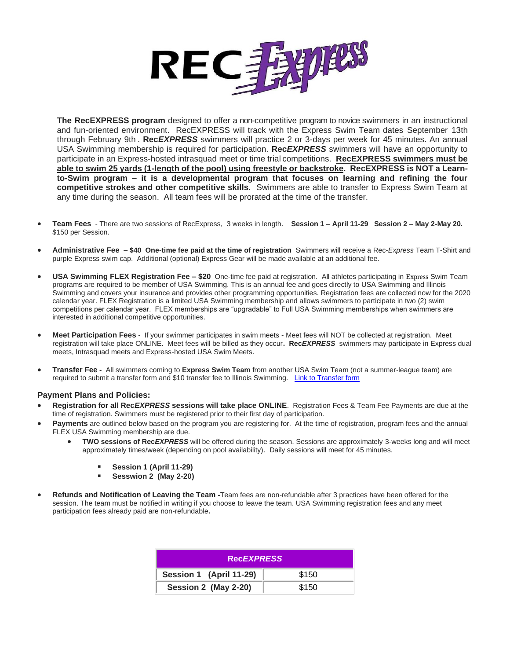

**The RecEXPRESS program** designed to offer a non-competitive program to novice swimmers in an instructional and fun-oriented environment. RecEXPRESS will track with the Express Swim Team dates September 13th through February 9th . **Rec***EXPRESS* swimmers will practice 2 or 3-days per week for 45 minutes. An annual USA Swimming membership is required for participation. **Rec***EXPRESS* swimmers will have an opportunity to participate in an Express-hosted intrasquad meet or time trial competitions. **RecEXPRESS swimmers must be able to swim 25 yards (1-length of the pool) using freestyle or backstroke. RecEXPRESS is NOT a Learnto-Swim program – it is a developmental program that focuses on learning and refining the four competitive strokes and other competitive skills.** Swimmers are able to transfer to Express Swim Team at any time during the season. All team fees will be prorated at the time of the transfer.

- **Team Fees** There are two sessions of RecExpress, 3 weeks in length. **Session 1 – April 11-29 Session 2 – May 2-May 20.** \$150 per Session.
- **Administrative Fee – \$40 One-time fee paid at the time of registration** Swimmers will receive a Rec-*Express* Team T-Shirt and purple Express swim cap. Additional (optional) Express Gear will be made available at an additional fee.
- **USA Swimming FLEX Registration Fee – \$20** One-time fee paid at registration. All athletes participating in Express Swim Team programs are required to be member of USA Swimming. This is an annual fee and goes directly to USA Swimming and Illinois Swimming and covers your insurance and provides other programming opportunities. Registration fees are collected now for the 2020 calendar year. FLEX Registration is a limited USA Swimming membership and allows swimmers to participate in two (2) swim competitions per calendar year. FLEX memberships are "upgradable" to Full USA Swimming memberships when swimmers are interested in additional competitive opportunities.
- **Meet Participation Fees** If your swimmer participates in swim meets Meet fees will NOT be collected at registration. Meet registration will take place ONLINE. Meet fees will be billed as they occur**. Rec***EXPRESS* swimmers may participate in Express dual meets, Intrasquad meets and Express-hosted USA Swim Meets.
- **Transfer Fee** All swimmers coming to **Express Swim Team** from another USA Swim Team (not a summer-league team) are required to submit a transfer form and \$10 transfer fee to Illinois Swimming. [Link to Transfer form](https://www.teamunify.com/ilslsc/__doc__/Current_Transfer%20Form%20fill%20in%20form.pdf)

#### **Payment Plans and Policies:**

- **Registration for all Rec***EXPRESS* **sessions will take place ONLINE**. Registration Fees & Team Fee Payments are due at the time of registration. Swimmers must be registered prior to their first day of participation.
- **Payments** are outlined below based on the program you are registering for. At the time of registration, program fees and the annual FLEX USA Swimming membership are due.
	- **TWO sessions of Rec***EXPRESS* will be offered during the season. Sessions are approximately 3-weeks long and will meet approximately times/week (depending on pool availability). Daily sessions will meet for 45 minutes.
		- **Session 1 (April 11-29)**
		- **Sesswion 2 (May 2-20)**
- **Refunds and Notification of Leaving the Team -**Team fees are non-refundable after 3 practices have been offered for the session. The team must be notified in writing if you choose to leave the team. USA Swimming registration fees and any meet participation fees already paid are non-refundable**.**

| <b>RecEXPRESS</b>       |       |
|-------------------------|-------|
| Session 1 (April 11-29) | \$150 |
| Session 2 (May 2-20)    | \$150 |